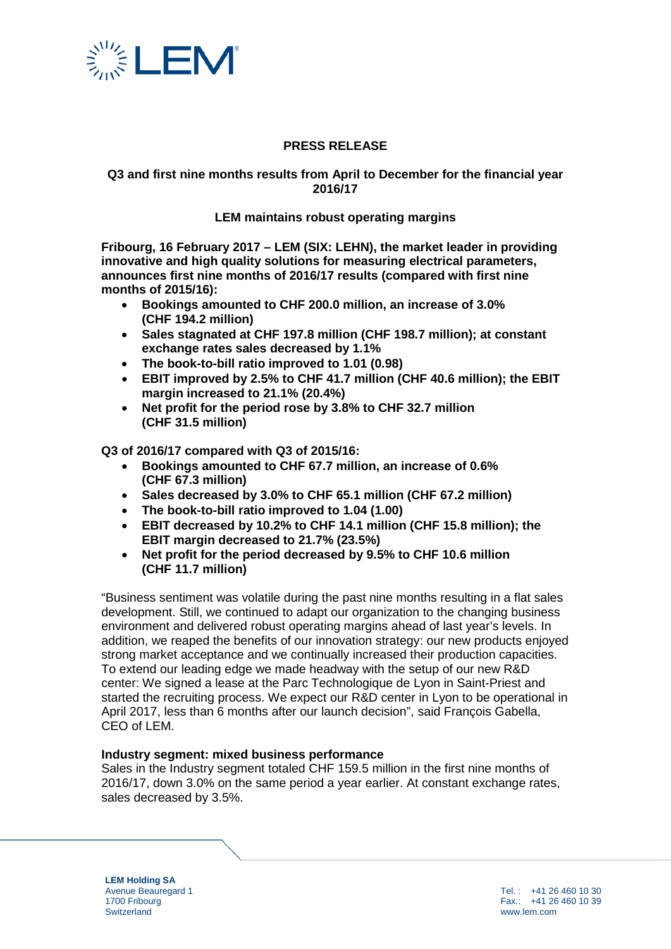

# **PRESS RELEASE**

# **Q3 and first nine months results from April to December for the financial year 2016/17**

## **LEM maintains robust operating margins**

**Fribourg, 16 February 2017 – LEM (SIX: LEHN), the market leader in providing innovative and high quality solutions for measuring electrical parameters, announces first nine months of 2016/17 results (compared with first nine months of 2015/16):** 

- **Bookings amounted to CHF 200.0 million, an increase of 3.0% (CHF 194.2 million)**
- **Sales stagnated at CHF 197.8 million (CHF 198.7 million); at constant exchange rates sales decreased by 1.1%**
- **The book-to-bill ratio improved to 1.01 (0.98)**
- **EBIT improved by 2.5% to CHF 41.7 million (CHF 40.6 million); the EBIT margin increased to 21.1% (20.4%)**
- **Net profit for the period rose by 3.8% to CHF 32.7 million (CHF 31.5 million)**

**Q3 of 2016/17 compared with Q3 of 2015/16:**

- **Bookings amounted to CHF 67.7 million, an increase of 0.6% (CHF 67.3 million)**
- **Sales decreased by 3.0% to CHF 65.1 million (CHF 67.2 million)**
- **The book-to-bill ratio improved to 1.04 (1.00)**
- **EBIT decreased by 10.2% to CHF 14.1 million (CHF 15.8 million); the EBIT margin decreased to 21.7% (23.5%)**
- **Net profit for the period decreased by 9.5% to CHF 10.6 million (CHF 11.7 million)**

"Business sentiment was volatile during the past nine months resulting in a flat sales development. Still, we continued to adapt our organization to the changing business environment and delivered robust operating margins ahead of last year's levels. In addition, we reaped the benefits of our innovation strategy: our new products enjoyed strong market acceptance and we continually increased their production capacities. To extend our leading edge we made headway with the setup of our new R&D center: We signed a lease at the Parc Technologique de Lyon in Saint-Priest and started the recruiting process. We expect our R&D center in Lyon to be operational in April 2017, less than 6 months after our launch decision", said François Gabella, CEO of LEM.

## **Industry segment: mixed business performance**

Sales in the Industry segment totaled CHF 159.5 million in the first nine months of 2016/17, down 3.0% on the same period a year earlier. At constant exchange rates, sales decreased by 3.5%.

**LEM Holding SA** Avenue Beauregard 1 1700 Fribourg **Switzerland** 

Tel. : +41 26 460 10 30 Fax.: +41 26 460 10 39 www.lem.com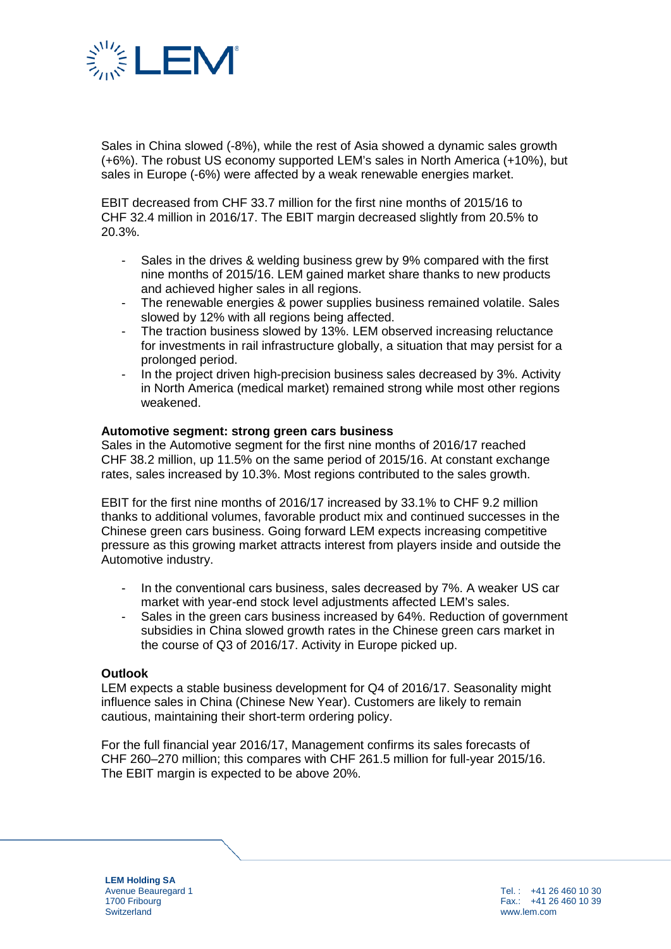

Sales in China slowed (-8%), while the rest of Asia showed a dynamic sales growth (+6%). The robust US economy supported LEM's sales in North America (+10%), but sales in Europe (-6%) were affected by a weak renewable energies market.

EBIT decreased from CHF 33.7 million for the first nine months of 2015/16 to CHF 32.4 million in 2016/17. The EBIT margin decreased slightly from 20.5% to 20.3%.

- Sales in the drives & welding business grew by 9% compared with the first nine months of 2015/16. LEM gained market share thanks to new products and achieved higher sales in all regions.
- The renewable energies & power supplies business remained volatile. Sales slowed by 12% with all regions being affected.
- The traction business slowed by 13%. LEM observed increasing reluctance for investments in rail infrastructure globally, a situation that may persist for a prolonged period.
- In the project driven high-precision business sales decreased by 3%. Activity in North America (medical market) remained strong while most other regions weakened.

## **Automotive segment: strong green cars business**

Sales in the Automotive segment for the first nine months of 2016/17 reached CHF 38.2 million, up 11.5% on the same period of 2015/16. At constant exchange rates, sales increased by 10.3%. Most regions contributed to the sales growth.

EBIT for the first nine months of 2016/17 increased by 33.1% to CHF 9.2 million thanks to additional volumes, favorable product mix and continued successes in the Chinese green cars business. Going forward LEM expects increasing competitive pressure as this growing market attracts interest from players inside and outside the Automotive industry.

- In the conventional cars business, sales decreased by 7%. A weaker US car market with year-end stock level adjustments affected LEM's sales.
- Sales in the green cars business increased by 64%. Reduction of government subsidies in China slowed growth rates in the Chinese green cars market in the course of Q3 of 2016/17. Activity in Europe picked up.

## **Outlook**

LEM expects a stable business development for Q4 of 2016/17. Seasonality might influence sales in China (Chinese New Year). Customers are likely to remain cautious, maintaining their short-term ordering policy.

For the full financial year 2016/17, Management confirms its sales forecasts of CHF 260–270 million; this compares with CHF 261.5 million for full-year 2015/16. The EBIT margin is expected to be above 20%.

**LEM Holding SA** Avenue Beauregard 1 1700 Fribourg **Switzerland**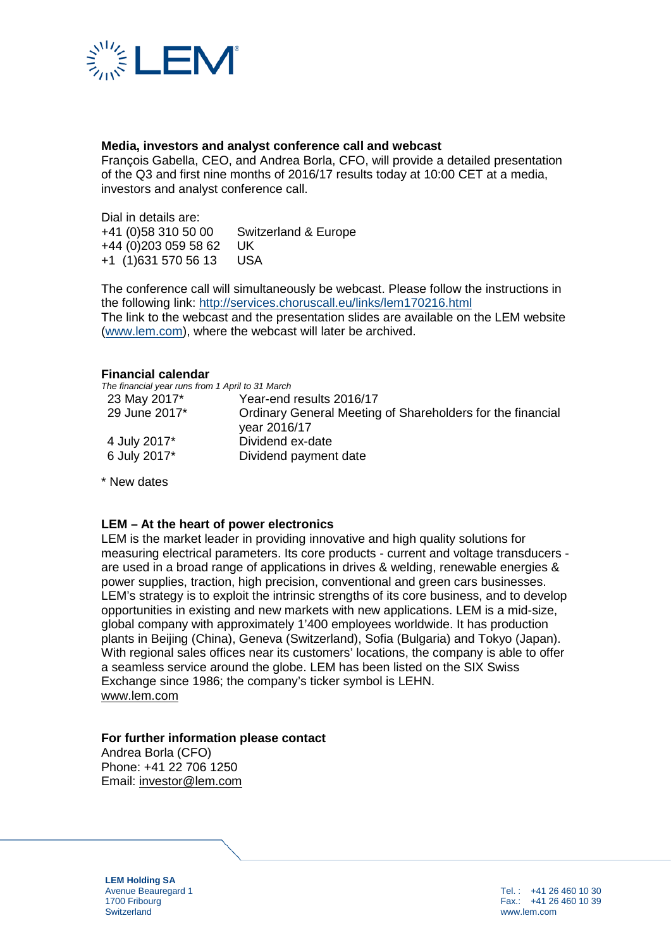

# **Media, investors and analyst conference call and webcast**

François Gabella, CEO, and Andrea Borla, CFO, will provide a detailed presentation of the Q3 and first nine months of 2016/17 results today at 10:00 CET at a media, investors and analyst conference call.

Dial in details are:<br>+41 (0)58 310 50 00 Switzerland & Europe +44 (0)203 059 58 62 UK +1 (1)631 570 56 13 USA

The conference call will simultaneously be webcast. Please follow the instructions in the following link: <http://services.choruscall.eu/links/lem170216.html> The link to the webcast and the presentation slides are available on the LEM website [\(www.lem.com\)](http://www.lem.com/), where the webcast will later be archived.

#### **Financial calendar**

*The financial year runs from 1 April to 31 March* 23 May 2017\* 29 June 2017\* 4 July 2017\* 6 July 2017\* Year-end results 2016/17 Ordinary General Meeting of Shareholders for the financial year 2016/17 Dividend ex-date Dividend payment date

\* New dates

## **LEM – At the heart of power electronics**

LEM is the market leader in providing innovative and high quality solutions for measuring electrical parameters. Its core products - current and voltage transducers are used in a broad range of applications in drives & welding, renewable energies & power supplies, traction, high precision, conventional and green cars businesses. LEM's strategy is to exploit the intrinsic strengths of its core business, and to develop opportunities in existing and new markets with new applications. LEM is a mid-size, global company with approximately 1'400 employees worldwide. It has production plants in Beijing (China), Geneva (Switzerland), Sofia (Bulgaria) and Tokyo (Japan). With regional sales offices near its customers' locations, the company is able to offer a seamless service around the globe. LEM has been listed on the SIX Swiss Exchange since 1986; the company's ticker symbol is LEHN. [www.lem.com](http://www.lem.com/)

# **For further information please contact**

Andrea Borla (CFO) Phone: +41 22 706 1250 Email: [investor@lem.com](mailto:investor@lem.com)

**LEM Holding SA** Avenue Beauregard 1 1700 Fribourg **Switzerland**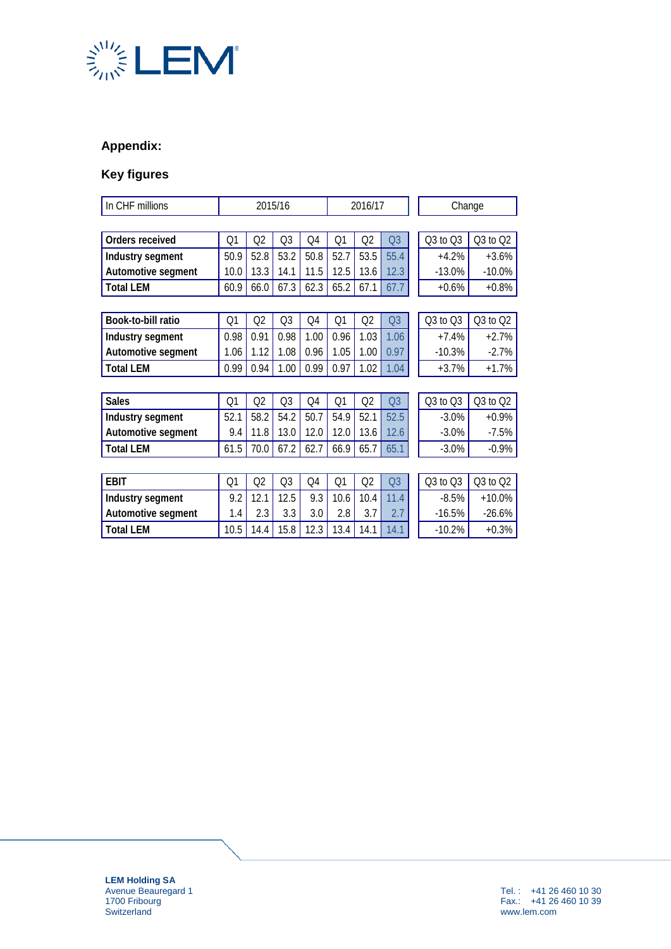

# **Appendix:**

# **Key figures**

| In CHF millions    | 2015/16        |                |                | 2016/17 |      |      | Change         |          |              |
|--------------------|----------------|----------------|----------------|---------|------|------|----------------|----------|--------------|
|                    |                |                |                |         |      |      |                |          |              |
| Orders received    | Q <sub>1</sub> | Q2             | Q <sub>3</sub> | Q4      | Q1   | Q2   | Q <sub>3</sub> | Q3 to Q3 | $Q3$ to $Q2$ |
| Industry segment   | 50.9           | 52.8           | 53.2           | 50.8    | 52.7 | 53.5 | 55.4           | $+4.2%$  | $+3.6%$      |
| Automotive segment | 10.0           | 13.3           | 14.1           | 11.5    | 12.5 | 13.6 | 12.3           | $-13.0%$ | $-10.0%$     |
| <b>Total LEM</b>   | 60.9           | 66.0           | 67.3           | 62.3    | 65.2 | 67.1 | 67.7           | $+0.6%$  | $+0.8%$      |
|                    |                |                |                |         |      |      |                |          |              |
| Book-to-bill ratio | Q <sub>1</sub> | Q <sub>2</sub> | Q <sub>3</sub> | Q4      | Q1   | Q2   | Q <sub>3</sub> | Q3 to Q3 | $Q3$ to $Q2$ |
| Industry segment   | 0.98           | 0.91           | 0.98           | 1.00    | 0.96 | 1.03 | 1.06           | $+7.4%$  | $+2.7%$      |
| Automotive segment | 1.06           | 1.12           | 1.08           | 0.96    | 1.05 | 1.00 | 0.97           | $-10.3%$ | $-2.7%$      |
| <b>Total LEM</b>   | 0.99           | 0.94           | 1.00           | 0.99    | 0.97 | 1.02 | 1.04           | $+3.7%$  | $+1.7%$      |
|                    |                |                |                |         |      |      |                |          |              |
| <b>Sales</b>       | Q <sub>1</sub> | Q2             | Q <sub>3</sub> | Q4      | Q1   | Q2   | Q <sub>3</sub> | Q3 to Q3 | $Q3$ to $Q2$ |
| Industry segment   | 52.1           | 58.2           | 54.2           | 50.7    | 54.9 | 52.1 | 52.5           | $-3.0%$  | $+0.9%$      |
| Automotive segment | 9.4            | 11.8           | 13.0           | 12.0    | 12.0 | 13.6 | 12.6           | $-3.0%$  | $-7.5%$      |
| <b>Total LEM</b>   | 61.5           | 70.0           | 67.2           | 62.7    | 66.9 | 65.7 | 65.1           | $-3.0%$  | $-0.9%$      |
|                    |                |                |                |         |      |      |                |          |              |
| <b>EBIT</b>        | Q <sub>1</sub> | Q2             | Q <sub>3</sub> | Q4      | Q1   | Q2   | Q <sub>3</sub> | Q3 to Q3 | $Q3$ to $Q2$ |
| Industry segment   | 9.2            | 12.1           | 12.5           | 9.3     | 10.6 | 10.4 | 11.4           | $-8.5%$  | $+10.0%$     |
| Automotive segment | 1.4            | 2.3            | 3.3            | 3.0     | 2.8  | 3.7  | 2.7            | $-16.5%$ | $-26.6%$     |
| <b>Total LEM</b>   | 10.5           | 14.4           | 15.8           | 12.3    | 13.4 | 14.1 | 14.1           | $-10.2%$ | $+0.3%$      |